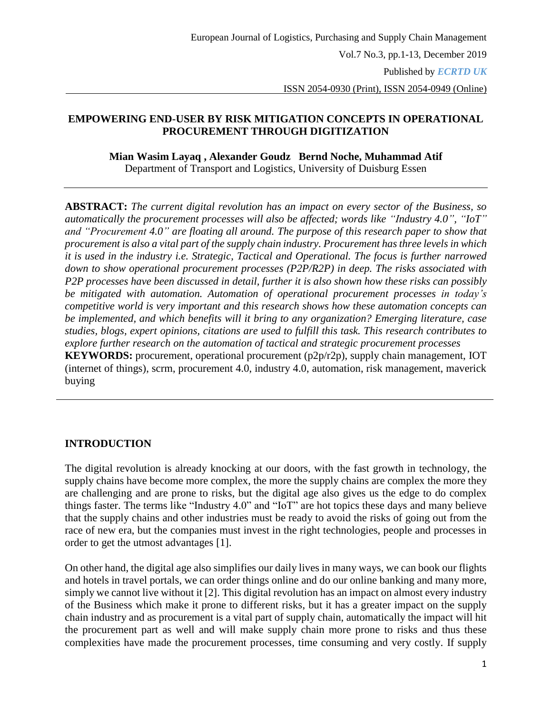ISSN 2054-0930 (Print), ISSN 2054-0949 (Online)

### **EMPOWERING END-USER BY RISK MITIGATION CONCEPTS IN OPERATIONAL PROCUREMENT THROUGH DIGITIZATION**

**Mian Wasim Layaq , Alexander Goudz Bernd Noche, Muhammad Atif**

Department of Transport and Logistics, University of Duisburg Essen

**ABSTRACT:** *The current digital revolution has an impact on every sector of the Business, so automatically the procurement processes will also be affected; words like "Industry 4.0", "IoT" and "Procurement 4.0" are floating all around. The purpose of this research paper to show that procurement is also a vital part of the supply chain industry. Procurement has three levels in which it is used in the industry i.e. Strategic, Tactical and Operational. The focus is further narrowed down to show operational procurement processes (P2P/R2P) in deep. The risks associated with P2P processes have been discussed in detail, further it is also shown how these risks can possibly be mitigated with automation. Automation of operational procurement processes in today's competitive world is very important and this research shows how these automation concepts can be implemented, and which benefits will it bring to any organization? Emerging literature, case studies, blogs, expert opinions, citations are used to fulfill this task. This research contributes to explore further research on the automation of tactical and strategic procurement processes* **KEYWORDS:** procurement, operational procurement (p2p/r2p), supply chain management, IOT (internet of things), scrm, procurement 4.0, industry 4.0, automation, risk management, maverick buying

### **INTRODUCTION**

The digital revolution is already knocking at our doors, with the fast growth in technology, the supply chains have become more complex, the more the supply chains are complex the more they are challenging and are prone to risks, but the digital age also gives us the edge to do complex things faster. The terms like "Industry 4.0" and "IoT" are hot topics these days and many believe that the supply chains and other industries must be ready to avoid the risks of going out from the race of new era, but the companies must invest in the right technologies, people and processes in order to get the utmost advantages [1].

On other hand, the digital age also simplifies our daily lives in many ways, we can book our flights and hotels in travel portals, we can order things online and do our online banking and many more, simply we cannot live without it [2]. This digital revolution has an impact on almost every industry of the Business which make it prone to different risks, but it has a greater impact on the supply chain industry and as procurement is a vital part of supply chain, automatically the impact will hit the procurement part as well and will make supply chain more prone to risks and thus these complexities have made the procurement processes, time consuming and very costly. If supply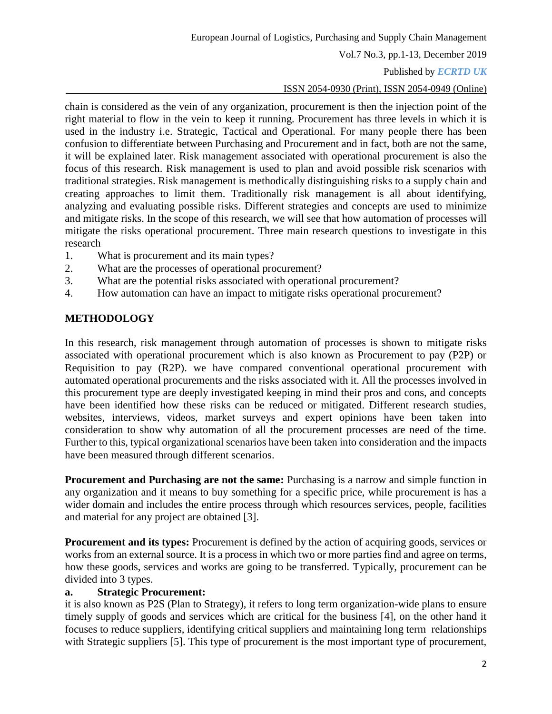Vol.7 No.3, pp.1-13, December 2019

### Published by *ECRTD UK*

ISSN 2054-0930 (Print), ISSN 2054-0949 (Online)

chain is considered as the vein of any organization, procurement is then the injection point of the right material to flow in the vein to keep it running. Procurement has three levels in which it is used in the industry i.e. Strategic, Tactical and Operational. For many people there has been confusion to differentiate between Purchasing and Procurement and in fact, both are not the same, it will be explained later. Risk management associated with operational procurement is also the focus of this research. Risk management is used to plan and avoid possible risk scenarios with traditional strategies. Risk management is methodically distinguishing risks to a supply chain and creating approaches to limit them. Traditionally risk management is all about identifying, analyzing and evaluating possible risks. Different strategies and concepts are used to minimize and mitigate risks. In the scope of this research, we will see that how automation of processes will mitigate the risks operational procurement. Three main research questions to investigate in this research

- 1. What is procurement and its main types?
- 2. What are the processes of operational procurement?
- 3. What are the potential risks associated with operational procurement?
- 4. How automation can have an impact to mitigate risks operational procurement?

# **METHODOLOGY**

In this research, risk management through automation of processes is shown to mitigate risks associated with operational procurement which is also known as Procurement to pay (P2P) or Requisition to pay (R2P). we have compared conventional operational procurement with automated operational procurements and the risks associated with it. All the processes involved in this procurement type are deeply investigated keeping in mind their pros and cons, and concepts have been identified how these risks can be reduced or mitigated. Different research studies, websites, interviews, videos, market surveys and expert opinions have been taken into consideration to show why automation of all the procurement processes are need of the time. Further to this, typical organizational scenarios have been taken into consideration and the impacts have been measured through different scenarios.

**Procurement and Purchasing are not the same:** Purchasing is a narrow and simple function in any organization and it means to buy something for a specific price, while procurement is has a wider domain and includes the entire process through which resources services, people, facilities and material for any project are obtained [3].

**Procurement and its types:** Procurement is defined by the action of acquiring goods, services or works from an external source. It is a process in which two or more parties find and agree on terms, how these goods, services and works are going to be transferred. Typically, procurement can be divided into 3 types.

#### **a. Strategic Procurement:**

it is also known as P2S (Plan to Strategy), it refers to long term organization-wide plans to ensure timely supply of goods and services which are critical for the business [4], on the other hand it focuses to reduce suppliers, identifying critical suppliers and maintaining long term relationships with Strategic suppliers [5]. This type of procurement is the most important type of procurement,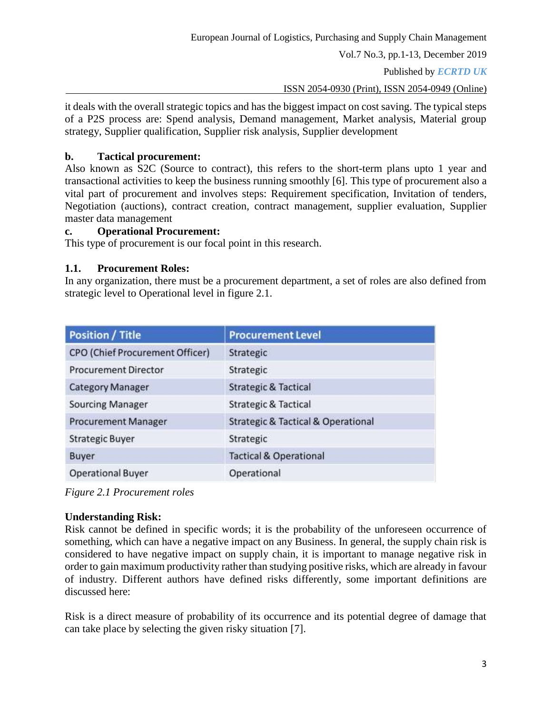Vol.7 No.3, pp.1-13, December 2019

Published by *ECRTD UK* 

ISSN 2054-0930 (Print), ISSN 2054-0949 (Online)

it deals with the overall strategic topics and has the biggest impact on cost saving. The typical steps of a P2S process are: Spend analysis, Demand management, Market analysis, Material group strategy, Supplier qualification, Supplier risk analysis, Supplier development

### **b. Tactical procurement:**

Also known as S2C (Source to contract), this refers to the short-term plans upto 1 year and transactional activities to keep the business running smoothly [6]. This type of procurement also a vital part of procurement and involves steps: Requirement specification, Invitation of tenders, Negotiation (auctions), contract creation, contract management, supplier evaluation, Supplier master data management

### **c. Operational Procurement:**

This type of procurement is our focal point in this research.

### **1.1. Procurement Roles:**

In any organization, there must be a procurement department, a set of roles are also defined from strategic level to Operational level in figure 2.1.

| <b>Position / Title</b>         | <b>Procurement Level</b>                          |
|---------------------------------|---------------------------------------------------|
| CPO (Chief Procurement Officer) | Strategic                                         |
| <b>Procurement Director</b>     | Strategic                                         |
| <b>Category Manager</b>         | <b>Strategic &amp; Tactical</b>                   |
| <b>Sourcing Manager</b>         | <b>Strategic &amp; Tactical</b>                   |
| <b>Procurement Manager</b>      | <b>Strategic &amp; Tactical &amp; Operational</b> |
| <b>Strategic Buyer</b>          | Strategic                                         |
| <b>Buyer</b>                    | <b>Tactical &amp; Operational</b>                 |
| <b>Operational Buyer</b>        | Operational                                       |

*Figure 2.1 Procurement roles*

### **Understanding Risk:**

Risk cannot be defined in specific words; it is the probability of the unforeseen occurrence of something, which can have a negative impact on any Business. In general, the supply chain risk is considered to have negative impact on supply chain, it is important to manage negative risk in order to gain maximum productivity rather than studying positive risks, which are already in favour of industry. Different authors have defined risks differently, some important definitions are discussed here:

Risk is a direct measure of probability of its occurrence and its potential degree of damage that can take place by selecting the given risky situation [7].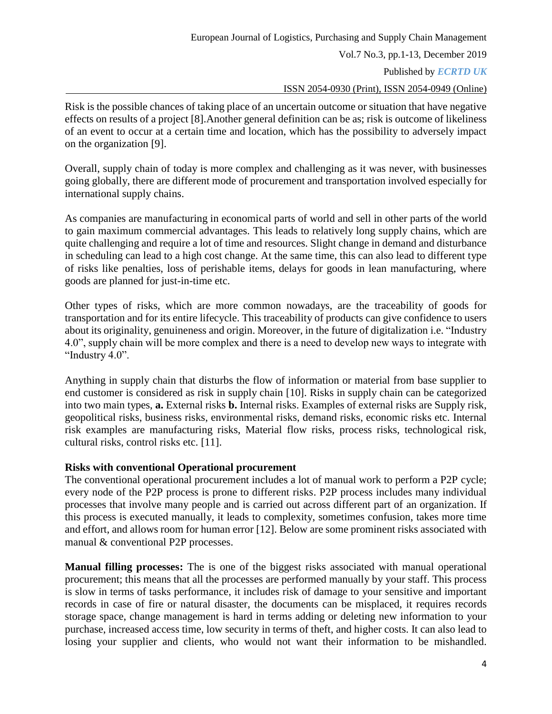Published by *ECRTD UK* 

#### ISSN 2054-0930 (Print), ISSN 2054-0949 (Online)

Risk is the possible chances of taking place of an uncertain outcome or situation that have negative effects on results of a project [8].Another general definition can be as; risk is outcome of likeliness of an event to occur at a certain time and location, which has the possibility to adversely impact on the organization [9].

Overall, supply chain of today is more complex and challenging as it was never, with businesses going globally, there are different mode of procurement and transportation involved especially for international supply chains.

As companies are manufacturing in economical parts of world and sell in other parts of the world to gain maximum commercial advantages. This leads to relatively long supply chains, which are quite challenging and require a lot of time and resources. Slight change in demand and disturbance in scheduling can lead to a high cost change. At the same time, this can also lead to different type of risks like penalties, loss of perishable items, delays for goods in lean manufacturing, where goods are planned for just-in-time etc.

Other types of risks, which are more common nowadays, are the traceability of goods for transportation and for its entire lifecycle. This traceability of products can give confidence to users about its originality, genuineness and origin. Moreover, in the future of digitalization i.e. "Industry 4.0", supply chain will be more complex and there is a need to develop new ways to integrate with "Industry 4.0".

Anything in supply chain that disturbs the flow of information or material from base supplier to end customer is considered as risk in supply chain [10]. Risks in supply chain can be categorized into two main types, **a.** External risks **b.** Internal risks. Examples of external risks are Supply risk, geopolitical risks, business risks, environmental risks, demand risks, economic risks etc. Internal risk examples are manufacturing risks, Material flow risks, process risks, technological risk, cultural risks, control risks etc. [11].

### **Risks with conventional Operational procurement**

The conventional operational procurement includes a lot of manual work to perform a P2P cycle; every node of the P2P process is prone to different risks. P2P process includes many individual processes that involve many people and is carried out across different part of an organization. If this process is executed manually, it leads to complexity, sometimes confusion, takes more time and effort, and allows room for human error [12]. Below are some prominent risks associated with manual & conventional P2P processes.

**Manual filling processes:** The is one of the biggest risks associated with manual operational procurement; this means that all the processes are performed manually by your staff. This process is slow in terms of tasks performance, it includes risk of damage to your sensitive and important records in case of fire or natural disaster, the documents can be misplaced, it requires records storage space, change management is hard in terms adding or deleting new information to your purchase, increased access time, low security in terms of theft, and higher costs. It can also lead to losing your supplier and clients, who would not want their information to be mishandled.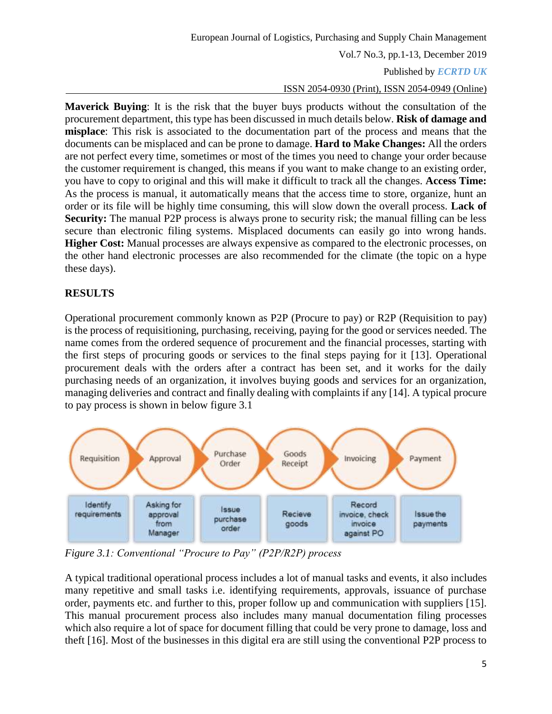Vol.7 No.3, pp.1-13, December 2019

### Published by *ECRTD UK*

ISSN 2054-0930 (Print), ISSN 2054-0949 (Online)

**Maverick Buying**: It is the risk that the buyer buys products without the consultation of the procurement department, this type has been discussed in much details below. **Risk of damage and misplace**: This risk is associated to the documentation part of the process and means that the documents can be misplaced and can be prone to damage. **Hard to Make Changes:** All the orders are not perfect every time, sometimes or most of the times you need to change your order because the customer requirement is changed, this means if you want to make change to an existing order, you have to copy to original and this will make it difficult to track all the changes. **Access Time:** As the process is manual, it automatically means that the access time to store, organize, hunt an order or its file will be highly time consuming, this will slow down the overall process. **Lack of Security:** The manual P2P process is always prone to security risk; the manual filling can be less secure than electronic filing systems. Misplaced documents can easily go into wrong hands. **Higher Cost:** Manual processes are always expensive as compared to the electronic processes, on the other hand electronic processes are also recommended for the climate (the topic on a hype these days).

# **RESULTS**

Operational procurement commonly known as P2P (Procure to pay) or R2P (Requisition to pay) is the process of requisitioning, purchasing, receiving, paying for the good or services needed. The name comes from the ordered sequence of procurement and the financial processes, starting with the first steps of procuring goods or services to the final steps paying for it [13]. Operational procurement deals with the orders after a contract has been set, and it works for the daily purchasing needs of an organization, it involves buying goods and services for an organization, managing deliveries and contract and finally dealing with complaints if any [14]. A typical procure to pay process is shown in below figure 3.1



*Figure 3.1: Conventional "Procure to Pay" (P2P/R2P) process*

A typical traditional operational process includes a lot of manual tasks and events, it also includes many repetitive and small tasks i.e. identifying requirements, approvals, issuance of purchase order, payments etc. and further to this, proper follow up and communication with suppliers [15]. This manual procurement process also includes many manual documentation filing processes which also require a lot of space for document filling that could be very prone to damage, loss and theft [16]. Most of the businesses in this digital era are still using the conventional P2P process to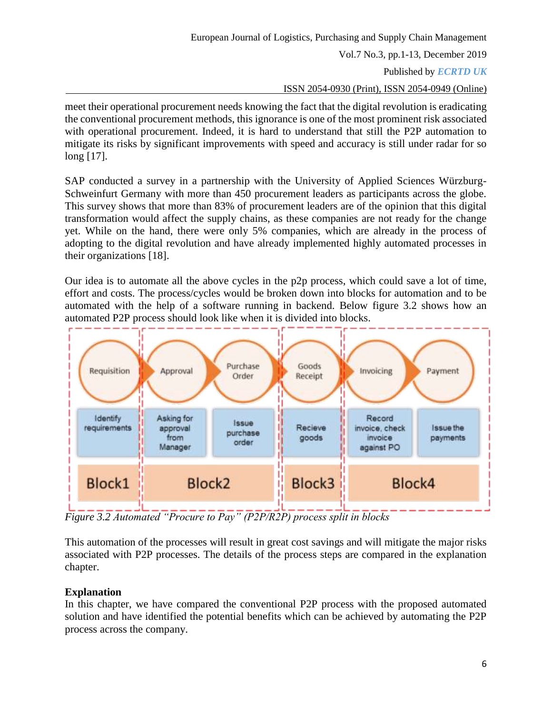Published by *ECRTD UK* 

ISSN 2054-0930 (Print), ISSN 2054-0949 (Online)

meet their operational procurement needs knowing the fact that the digital revolution is eradicating the conventional procurement methods, this ignorance is one of the most prominent risk associated with operational procurement. Indeed, it is hard to understand that still the P2P automation to mitigate its risks by significant improvements with speed and accuracy is still under radar for so long [17].

SAP conducted a survey in a partnership with the University of Applied Sciences Würzburg-Schweinfurt Germany with more than 450 procurement leaders as participants across the globe. This survey shows that more than 83% of procurement leaders are of the opinion that this digital transformation would affect the supply chains, as these companies are not ready for the change yet. While on the hand, there were only 5% companies, which are already in the process of adopting to the digital revolution and have already implemented highly automated processes in their organizations [18].

Our idea is to automate all the above cycles in the p2p process, which could save a lot of time, effort and costs. The process/cycles would be broken down into blocks for automation and to be automated with the help of a software running in backend. Below figure 3.2 shows how an automated P2P process should look like when it is divided into blocks.



*Figure 3.2 Automated "Procure to Pay" (P2P/R2P) process split in blocks*

This automation of the processes will result in great cost savings and will mitigate the major risks associated with P2P processes. The details of the process steps are compared in the explanation chapter.

# **Explanation**

In this chapter, we have compared the conventional P2P process with the proposed automated solution and have identified the potential benefits which can be achieved by automating the P2P process across the company.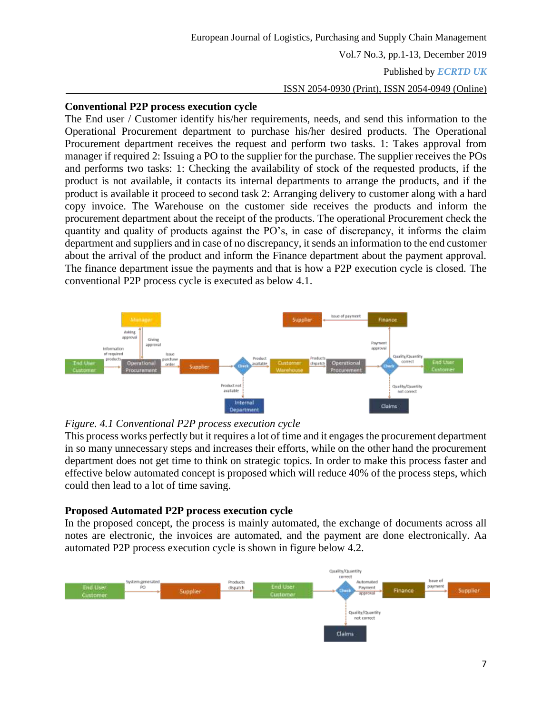Published by *ECRTD UK* 

#### ISSN 2054-0930 (Print), ISSN 2054-0949 (Online)

#### **Conventional P2P process execution cycle**

The End user / Customer identify his/her requirements, needs, and send this information to the Operational Procurement department to purchase his/her desired products. The Operational Procurement department receives the request and perform two tasks. 1: Takes approval from manager if required 2: Issuing a PO to the supplier for the purchase. The supplier receives the POs and performs two tasks: 1: Checking the availability of stock of the requested products, if the product is not available, it contacts its internal departments to arrange the products, and if the product is available it proceed to second task 2: Arranging delivery to customer along with a hard copy invoice. The Warehouse on the customer side receives the products and inform the procurement department about the receipt of the products. The operational Procurement check the quantity and quality of products against the PO's, in case of discrepancy, it informs the claim department and suppliers and in case of no discrepancy, it sends an information to the end customer about the arrival of the product and inform the Finance department about the payment approval. The finance department issue the payments and that is how a P2P execution cycle is closed. The conventional P2P process cycle is executed as below 4.1.



#### *Figure. 4.1 Conventional P2P process execution cycle*

This process works perfectly but it requires a lot of time and it engages the procurement department in so many unnecessary steps and increases their efforts, while on the other hand the procurement department does not get time to think on strategic topics. In order to make this process faster and effective below automated concept is proposed which will reduce 40% of the process steps, which could then lead to a lot of time saving.

#### **Proposed Automated P2P process execution cycle**

In the proposed concept, the process is mainly automated, the exchange of documents across all notes are electronic, the invoices are automated, and the payment are done electronically. Aa automated P2P process execution cycle is shown in figure below 4.2.

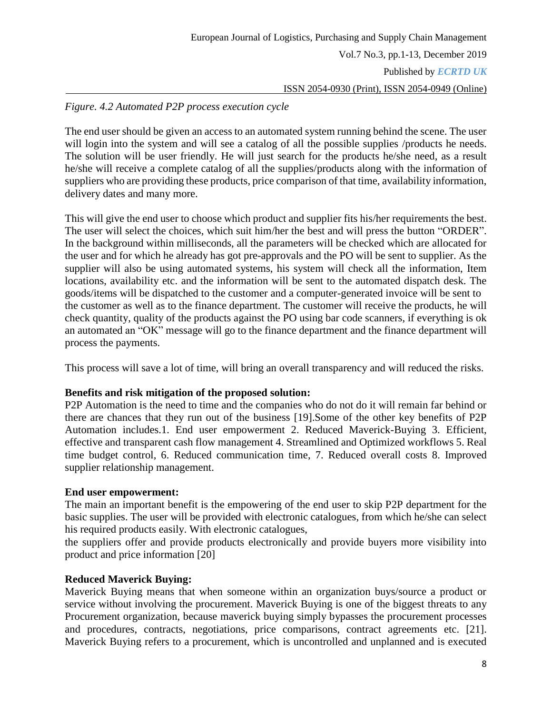### *Figure. 4.2 Automated P2P process execution cycle*

The end user should be given an access to an automated system running behind the scene. The user will login into the system and will see a catalog of all the possible supplies /products he needs. The solution will be user friendly. He will just search for the products he/she need, as a result he/she will receive a complete catalog of all the supplies/products along with the information of suppliers who are providing these products, price comparison of that time, availability information, delivery dates and many more.

This will give the end user to choose which product and supplier fits his/her requirements the best. The user will select the choices, which suit him/her the best and will press the button "ORDER". In the background within milliseconds, all the parameters will be checked which are allocated for the user and for which he already has got pre-approvals and the PO will be sent to supplier. As the supplier will also be using automated systems, his system will check all the information, Item locations, availability etc. and the information will be sent to the automated dispatch desk. The goods/items will be dispatched to the customer and a computer-generated invoice will be sent to the customer as well as to the finance department. The customer will receive the products, he will check quantity, quality of the products against the PO using bar code scanners, if everything is ok an automated an "OK" message will go to the finance department and the finance department will process the payments.

This process will save a lot of time, will bring an overall transparency and will reduced the risks.

### **Benefits and risk mitigation of the proposed solution:**

P2P Automation is the need to time and the companies who do not do it will remain far behind or there are chances that they run out of the business [19].Some of the other key benefits of P2P Automation includes.1. End user empowerment 2. Reduced Maverick-Buying 3. Efficient, effective and transparent cash flow management 4. Streamlined and Optimized workflows 5. Real time budget control, 6. Reduced communication time, 7. Reduced overall costs 8. Improved supplier relationship management.

#### **End user empowerment:**

The main an important benefit is the empowering of the end user to skip P2P department for the basic supplies. The user will be provided with electronic catalogues, from which he/she can select his required products easily. With electronic catalogues,

the suppliers offer and provide products electronically and provide buyers more visibility into product and price information [20]

### **Reduced Maverick Buying:**

Maverick Buying means that when someone within an organization buys/source a product or service without involving the procurement. Maverick Buying is one of the biggest threats to any Procurement organization, because maverick buying simply bypasses the procurement processes and procedures, contracts, negotiations, price comparisons, contract agreements etc. [21]. Maverick Buying refers to a procurement, which is uncontrolled and unplanned and is executed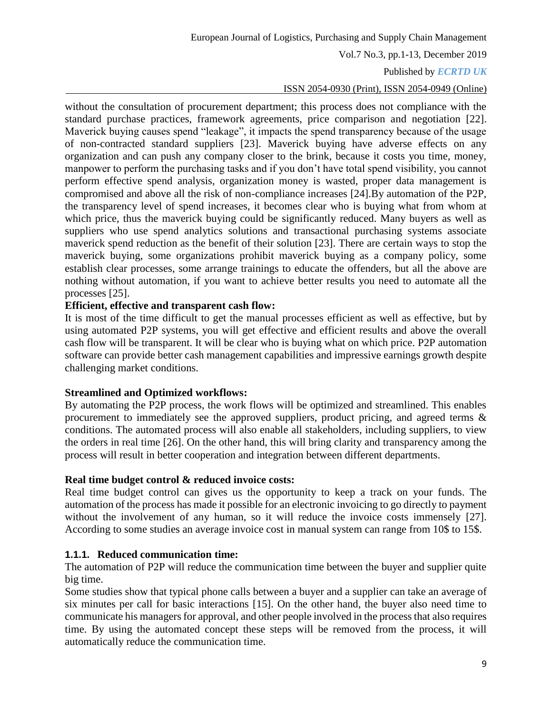Vol.7 No.3, pp.1-13, December 2019

#### Published by *ECRTD UK*

#### ISSN 2054-0930 (Print), ISSN 2054-0949 (Online)

without the consultation of procurement department; this process does not compliance with the standard purchase practices, framework agreements, price comparison and negotiation [22]. Maverick buying causes spend "leakage", it impacts the spend transparency because of the usage of non-contracted standard suppliers [23]. Maverick buying have adverse effects on any organization and can push any company closer to the brink, because it costs you time, money, manpower to perform the purchasing tasks and if you don't have total spend visibility, you cannot perform effective spend analysis, organization money is wasted, proper data management is compromised and above all the risk of non-compliance increases [24].By automation of the P2P, the transparency level of spend increases, it becomes clear who is buying what from whom at which price, thus the maverick buying could be significantly reduced. Many buyers as well as suppliers who use spend analytics solutions and transactional purchasing systems associate maverick spend reduction as the benefit of their solution [23]. There are certain ways to stop the maverick buying, some organizations prohibit maverick buying as a company policy, some establish clear processes, some arrange trainings to educate the offenders, but all the above are nothing without automation, if you want to achieve better results you need to automate all the processes [25].

#### **Efficient, effective and transparent cash flow:**

It is most of the time difficult to get the manual processes efficient as well as effective, but by using automated P2P systems, you will get effective and efficient results and above the overall cash flow will be transparent. It will be clear who is buying what on which price. P2P automation software can provide better cash management capabilities and impressive earnings growth despite challenging market conditions.

#### **Streamlined and Optimized workflows:**

By automating the P2P process, the work flows will be optimized and streamlined. This enables procurement to immediately see the approved suppliers, product pricing, and agreed terms & conditions. The automated process will also enable all stakeholders, including suppliers, to view the orders in real time [26]. On the other hand, this will bring clarity and transparency among the process will result in better cooperation and integration between different departments.

#### **Real time budget control & reduced invoice costs:**

Real time budget control can gives us the opportunity to keep a track on your funds. The automation of the process has made it possible for an electronic invoicing to go directly to payment without the involvement of any human, so it will reduce the invoice costs immensely [27]. According to some studies an average invoice cost in manual system can range from 10\$ to 15\$.

#### **1.1.1. Reduced communication time:**

The automation of P2P will reduce the communication time between the buyer and supplier quite big time.

Some studies show that typical phone calls between a buyer and a supplier can take an average of six minutes per call for basic interactions [15]. On the other hand, the buyer also need time to communicate his managers for approval, and other people involved in the process that also requires time. By using the automated concept these steps will be removed from the process, it will automatically reduce the communication time.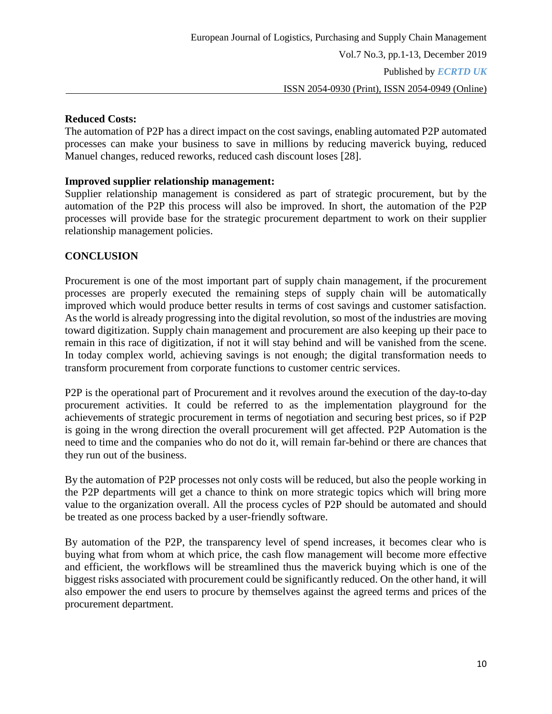# ISSN 2054-0930 (Print), ISSN 2054-0949 (Online)

### **Reduced Costs:**

The automation of P2P has a direct impact on the cost savings, enabling automated P2P automated processes can make your business to save in millions by reducing maverick buying, reduced Manuel changes, reduced reworks, reduced cash discount loses [28].

### **Improved supplier relationship management:**

Supplier relationship management is considered as part of strategic procurement, but by the automation of the P2P this process will also be improved. In short, the automation of the P2P processes will provide base for the strategic procurement department to work on their supplier relationship management policies.

### **CONCLUSION**

Procurement is one of the most important part of supply chain management, if the procurement processes are properly executed the remaining steps of supply chain will be automatically improved which would produce better results in terms of cost savings and customer satisfaction. As the world is already progressing into the digital revolution, so most of the industries are moving toward digitization. Supply chain management and procurement are also keeping up their pace to remain in this race of digitization, if not it will stay behind and will be vanished from the scene. In today complex world, achieving savings is not enough; the digital transformation needs to transform procurement from corporate functions to customer centric services.

P2P is the operational part of Procurement and it revolves around the execution of the day-to-day procurement activities. It could be referred to as the implementation playground for the achievements of strategic procurement in terms of negotiation and securing best prices, so if P2P is going in the wrong direction the overall procurement will get affected. P2P Automation is the need to time and the companies who do not do it, will remain far-behind or there are chances that they run out of the business.

By the automation of P2P processes not only costs will be reduced, but also the people working in the P2P departments will get a chance to think on more strategic topics which will bring more value to the organization overall. All the process cycles of P2P should be automated and should be treated as one process backed by a user-friendly software.

By automation of the P2P, the transparency level of spend increases, it becomes clear who is buying what from whom at which price, the cash flow management will become more effective and efficient, the workflows will be streamlined thus the maverick buying which is one of the biggest risks associated with procurement could be significantly reduced. On the other hand, it will also empower the end users to procure by themselves against the agreed terms and prices of the procurement department.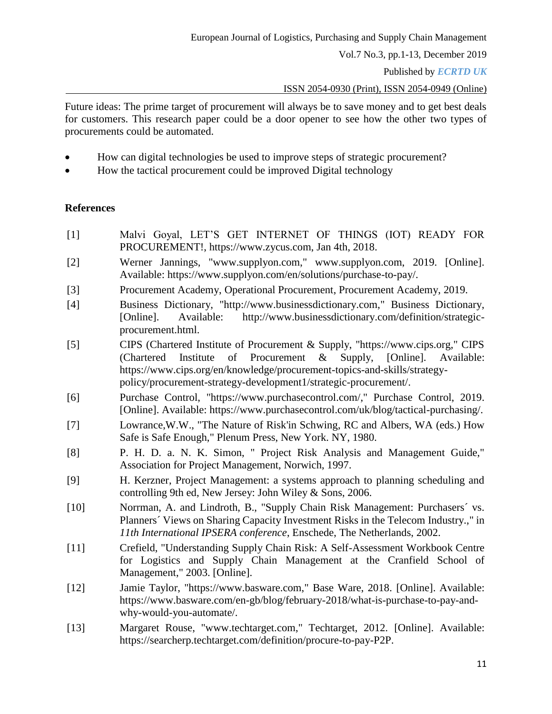Published by *ECRTD UK* 

ISSN 2054-0930 (Print), ISSN 2054-0949 (Online)

Future ideas: The prime target of procurement will always be to save money and to get best deals for customers. This research paper could be a door opener to see how the other two types of procurements could be automated.

- How can digital technologies be used to improve steps of strategic procurement?
- How the tactical procurement could be improved Digital technology

### **References**

- [1] Malvi Goyal, LET'S GET INTERNET OF THINGS (IOT) READY FOR PROCUREMENT!, https://www.zycus.com, Jan 4th, 2018.
- [2] Werner Jannings, "www.supplyon.com," www.supplyon.com, 2019. [Online]. Available: https://www.supplyon.com/en/solutions/purchase-to-pay/.
- [3] Procurement Academy, Operational Procurement, Procurement Academy, 2019.
- [4] Business Dictionary, "http://www.businessdictionary.com," Business Dictionary, [Online]. Available: http://www.businessdictionary.com/definition/strategicprocurement.html.
- [5] CIPS (Chartered Institute of Procurement & Supply, "https://www.cips.org," CIPS (Chartered Institute of Procurement & Supply, [Online]. Available: https://www.cips.org/en/knowledge/procurement-topics-and-skills/strategypolicy/procurement-strategy-development1/strategic-procurement/.
- [6] Purchase Control, "https://www.purchasecontrol.com/," Purchase Control, 2019. [Online]. Available: https://www.purchasecontrol.com/uk/blog/tactical-purchasing/.
- [7] Lowrance,W.W., "The Nature of Risk'in Schwing, RC and Albers, WA (eds.) How Safe is Safe Enough," Plenum Press, New York. NY, 1980.
- [8] P. H. D. a. N. K. Simon, " Project Risk Analysis and Management Guide," Association for Project Management, Norwich, 1997.
- [9] H. Kerzner, Project Management: a systems approach to planning scheduling and controlling 9th ed, New Jersey: John Wiley & Sons, 2006.
- [10] Norrman, A. and Lindroth, B., "Supply Chain Risk Management: Purchasers´ vs. Planners´ Views on Sharing Capacity Investment Risks in the Telecom Industry.," in *11th International IPSERA conference*, Enschede, The Netherlands, 2002.
- [11] Crefield, "Understanding Supply Chain Risk: A Self-Assessment Workbook Centre for Logistics and Supply Chain Management at the Cranfield School of Management," 2003. [Online].
- [12] Jamie Taylor, "https://www.basware.com," Base Ware, 2018. [Online]. Available: https://www.basware.com/en-gb/blog/february-2018/what-is-purchase-to-pay-andwhy-would-you-automate/.
- [13] Margaret Rouse, "www.techtarget.com," Techtarget, 2012. [Online]. Available: https://searcherp.techtarget.com/definition/procure-to-pay-P2P.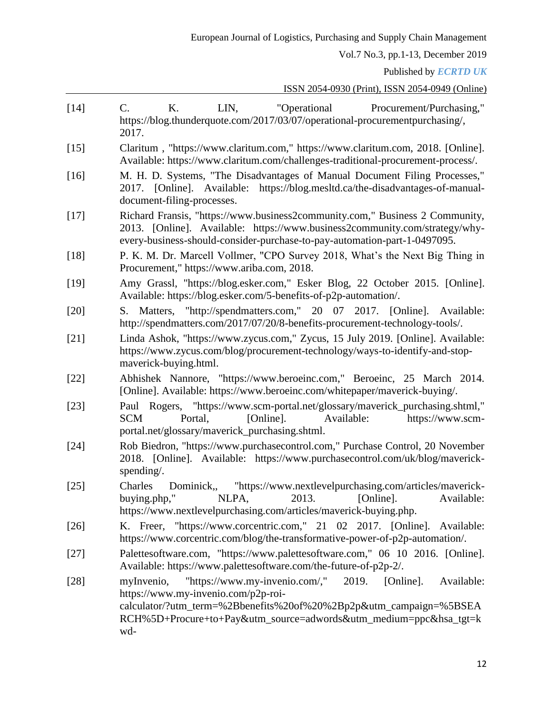Published by *ECRTD UK* 

ISSN 2054-0930 (Print), ISSN 2054-0949 (Online)

| [14]   | $C_{\cdot}$<br>LIN,<br>"Operational"<br>Κ.<br>Procurement/Purchasing,"<br>https://blog.thunderquote.com/2017/03/07/operational-procurementpurchasing/,<br>2017.                                                                                                           |
|--------|---------------------------------------------------------------------------------------------------------------------------------------------------------------------------------------------------------------------------------------------------------------------------|
| $[15]$ | Claritum, "https://www.claritum.com," https://www.claritum.com, 2018. [Online].<br>Available: https://www.claritum.com/challenges-traditional-procurement-process/.                                                                                                       |
| $[16]$ | M. H. D. Systems, "The Disadvantages of Manual Document Filing Processes,"<br>2017. [Online]. Available: https://blog.mesltd.ca/the-disadvantages-of-manual-<br>document-filing-processes.                                                                                |
| $[17]$ | Richard Fransis, "https://www.business2community.com," Business 2 Community,<br>2013. [Online]. Available: https://www.business2community.com/strategy/why-<br>every-business-should-consider-purchase-to-pay-automation-part-1-0497095.                                  |
| $[18]$ | P. K. M. Dr. Marcell Vollmer, "CPO Survey 2018, What's the Next Big Thing in<br>Procurement," https://www.ariba.com, 2018.                                                                                                                                                |
| $[19]$ | Amy Grassl, "https://blog.esker.com," Esker Blog, 22 October 2015. [Online].<br>Available: https://blog.esker.com/5-benefits-of-p2p-automation/.                                                                                                                          |
| $[20]$ | S. Matters, "http://spendmatters.com," 20 07 2017. [Online]. Available:<br>http://spendmatters.com/2017/07/20/8-benefits-procurement-technology-tools/.                                                                                                                   |
| $[21]$ | Linda Ashok, "https://www.zycus.com," Zycus, 15 July 2019. [Online]. Available:<br>https://www.zycus.com/blog/procurement-technology/ways-to-identify-and-stop-<br>maverick-buying.html.                                                                                  |
| $[22]$ | Abhishek Nannore, "https://www.beroeinc.com," Beroeinc, 25 March 2014.<br>[Online]. Available: https://www.beroeinc.com/whitepaper/maverick-buying/.                                                                                                                      |
| $[23]$ | Paul Rogers, "https://www.scm-portal.net/glossary/maverick_purchasing.shtml,"<br>[Online].<br><b>SCM</b><br>Portal,<br>Available:<br>https://www.scm-<br>portal.net/glossary/maverick_purchasing.shtml.                                                                   |
| $[24]$ | Rob Biedron, "https://www.purchasecontrol.com," Purchase Control, 20 November<br>2018. [Online]. Available: https://www.purchasecontrol.com/uk/blog/maverick-<br>spending.                                                                                                |
| $[25]$ | Dominick,, "https://www.nextlevelpurchasing.com/articles/maverick-<br>Charles<br>buying.php,"<br>NLPA,<br>2013. [Online].<br>Available:<br>https://www.nextlevelpurchasing.com/articles/maverick-buying.php.                                                              |
| $[26]$ | K. Freer, "https://www.corcentric.com," 21 02 2017. [Online]. Available:<br>https://www.corcentric.com/blog/the-transformative-power-of-p2p-automation/.                                                                                                                  |
| $[27]$ | Palettesoftware.com, "https://www.palettesoftware.com," 06 10 2016. [Online].<br>Available: https://www.palettesoftware.com/the-future-of-p2p-2/.                                                                                                                         |
| $[28]$ | "https://www.my-invenio.com/,"<br>2019.<br>Available:<br>myInvenio,<br>[Online].<br>https://www.my-invenio.com/p2p-roi-<br>calculator/?utm_term=%2Bbenefits%20of%20%2Bp2p&utm_campaign=%5BSEA<br>RCH%5D+Procure+to+Pay&utm_source=adwords&utm_medium=ppc&hsa_tgt=k<br>wd- |